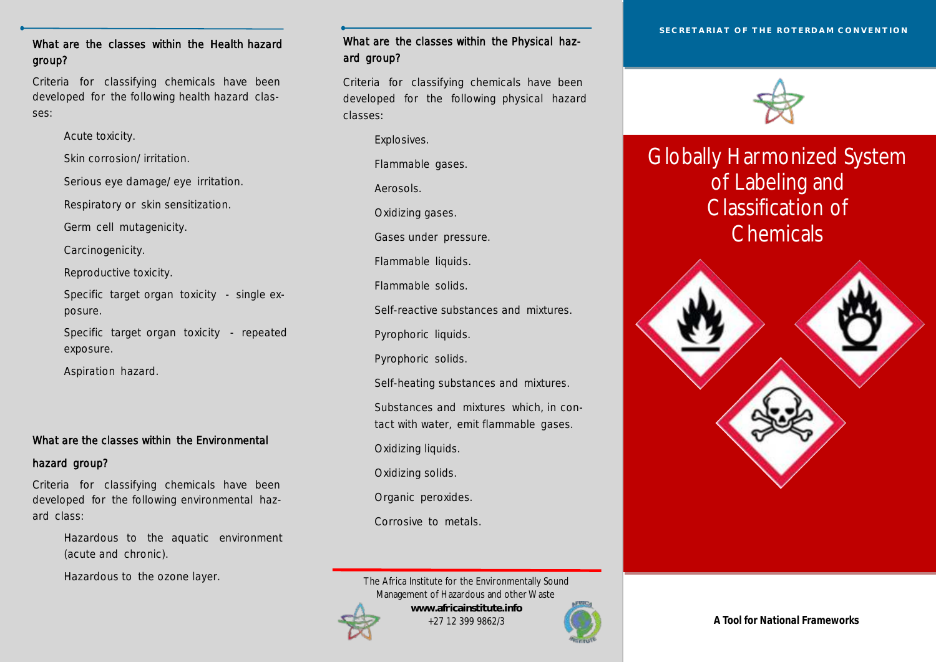## What are the classes within the Health hazard group?

Criteria for classifying chemicals have been developed for the following health hazard classes:

Acute toxicity.

Skin corrosion/irritation.

Serious eye damage/eye irritation.

Respiratory or skin sensitization.

Germ cell mutagenicity.

Carcinogenicity.

Reproductive toxicity.

Specific target organ toxicity - single exposure.

Specific target organ toxicity - repeated exposure.

Aspiration hazard.

## What are the classes within the Environmental

## hazard group?

Criteria for classifying chemicals have been developed for the following environmental hazard class:

> Hazardous to the aquatic environment (acute and chronic).

Hazardous to the ozone layer.

## What are the classes within the Physical hazard group?

Criteria for classifying chemicals have been developed for the following physical hazard classes:

Explosives.

Flammable gases.

Aerosols.

Oxidizing gases.

Gases under pressure.

Flammable liquids.

Flammable solids.

Self-reactive substances and mixtures.

Pyrophoric liquids.

Pyrophoric solids.

Self-heating substances and mixtures.

Substances and mixtures which, in contact with water, emit flammable gases.

Oxidizing liquids.

Oxidizing solids.

Organic peroxides.

Corrosive to metals.

The Africa Institute for the Environmentally Sound Management of Hazardous and other Waste **www.africainstitute.info**  +27 12 399 9862/3





# Globally Harmonized System of Labeling and Classification of **Chemicals**